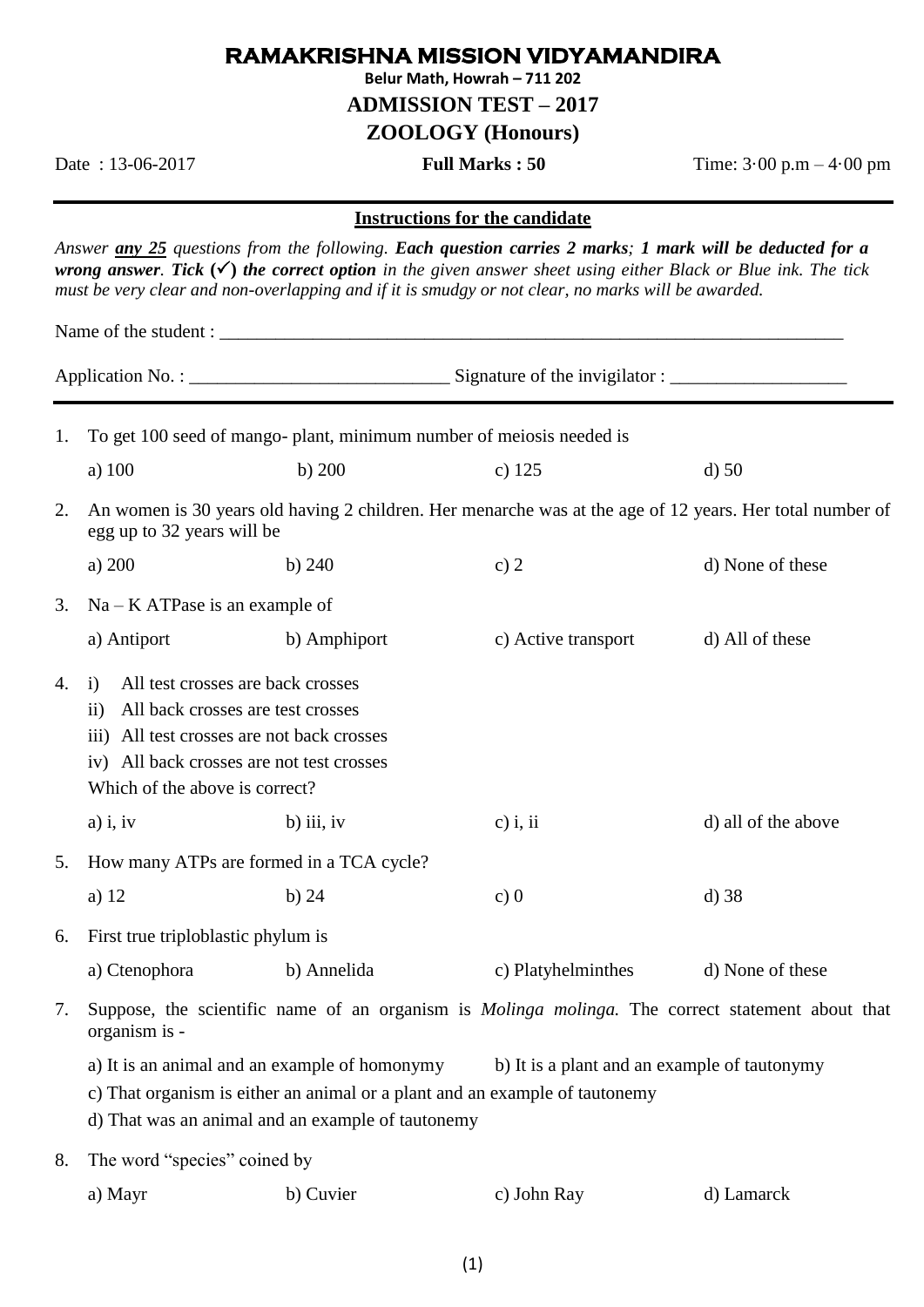## **RAMAKRISHNA MISSION VIDYAMANDIRA**

**Belur Math, Howrah – 711 202**

**ADMISSION TEST – 2017**

**ZOOLOGY (Honours)**

Date : 13-06-2017 **Full Marks : 50** Time: 3·00 p.m – 4·00 pm

## **Instructions for the candidate**

*Answer any 25 questions from the following. Each question carries 2 marks; 1 mark will be deducted for a wrong answer. Tick* **()** *the correct option in the given answer sheet using either Black or Blue ink. The tick must be very clear and non-overlapping and if it is smudgy or not clear, no marks will be awarded.*

Name of the student :

| 1. | To get 100 seed of mango- plant, minimum number of meiosis needed is                                                                                                                                                   |                                                                                                                                                                                                                                   |                     |                     |  |  |
|----|------------------------------------------------------------------------------------------------------------------------------------------------------------------------------------------------------------------------|-----------------------------------------------------------------------------------------------------------------------------------------------------------------------------------------------------------------------------------|---------------------|---------------------|--|--|
|    | a) 100                                                                                                                                                                                                                 | $b)$ 200                                                                                                                                                                                                                          | $c)$ 125            | $d$ ) 50            |  |  |
| 2. | An women is 30 years old having 2 children. Her menarche was at the age of 12 years. Her total number of<br>egg up to 32 years will be                                                                                 |                                                                                                                                                                                                                                   |                     |                     |  |  |
|    | a) 200                                                                                                                                                                                                                 | b) $240$                                                                                                                                                                                                                          | c) $2$              | d) None of these    |  |  |
| 3. | $Na - KATPase$ is an example of                                                                                                                                                                                        |                                                                                                                                                                                                                                   |                     |                     |  |  |
|    | a) Antiport                                                                                                                                                                                                            | b) Amphiport                                                                                                                                                                                                                      | c) Active transport | d) All of these     |  |  |
| 4. | All test crosses are back crosses<br>i)<br>All back crosses are test crosses<br>$\rm ii)$<br>iii) All test crosses are not back crosses<br>iv) All back crosses are not test crosses<br>Which of the above is correct? |                                                                                                                                                                                                                                   |                     |                     |  |  |
|    | $a)$ i, iv                                                                                                                                                                                                             | $b)$ iii, iv                                                                                                                                                                                                                      | $c)$ i, ii          | d) all of the above |  |  |
| 5. | How many ATPs are formed in a TCA cycle?                                                                                                                                                                               |                                                                                                                                                                                                                                   |                     |                     |  |  |
|    | a) $12$                                                                                                                                                                                                                | $b)$ 24                                                                                                                                                                                                                           | c)0                 | $d)$ 38             |  |  |
| 6. | First true triploblastic phylum is                                                                                                                                                                                     |                                                                                                                                                                                                                                   |                     |                     |  |  |
|    | a) Ctenophora                                                                                                                                                                                                          | b) Annelida                                                                                                                                                                                                                       | c) Platyhelminthes  | d) None of these    |  |  |
| 7. | Suppose, the scientific name of an organism is <i>Molinga molinga</i> . The correct statement about that<br>organism is -                                                                                              |                                                                                                                                                                                                                                   |                     |                     |  |  |
|    |                                                                                                                                                                                                                        | a) It is an animal and an example of homonymy<br>b) It is a plant and an example of tautonymy<br>c) That organism is either an animal or a plant and an example of tautonemy<br>d) That was an animal and an example of tautonemy |                     |                     |  |  |
| 8. | The word "species" coined by                                                                                                                                                                                           |                                                                                                                                                                                                                                   |                     |                     |  |  |

| a) Mayr | b) Cuvier | c) John Ray | d) Lamarck |
|---------|-----------|-------------|------------|
|         |           |             |            |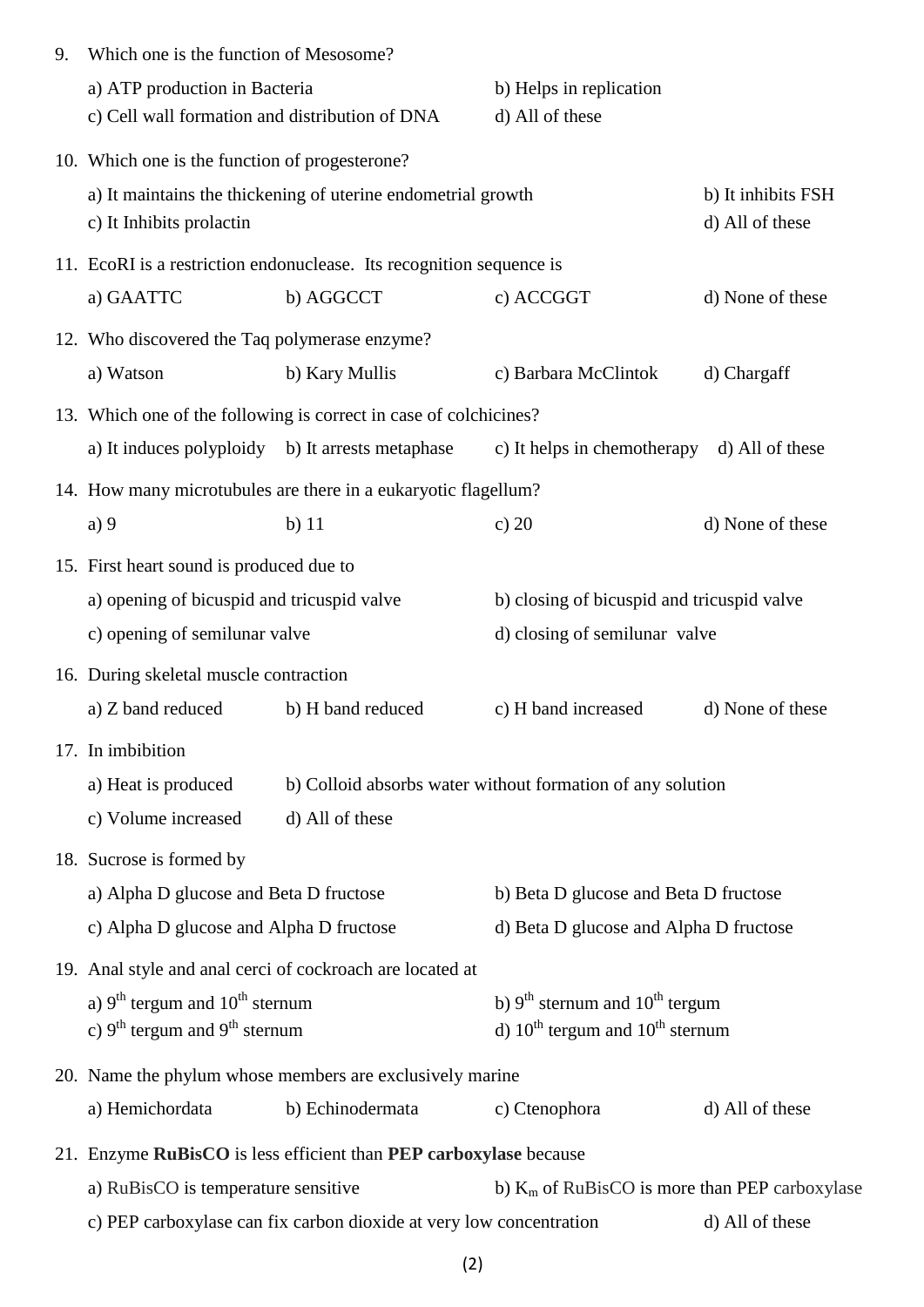| 9. | Which one is the function of Mesosome?                                                 |                                                                      |                                                            |                                       |  |  |
|----|----------------------------------------------------------------------------------------|----------------------------------------------------------------------|------------------------------------------------------------|---------------------------------------|--|--|
|    | a) ATP production in Bacteria<br>c) Cell wall formation and distribution of DNA        |                                                                      | b) Helps in replication<br>d) All of these                 |                                       |  |  |
|    | 10. Which one is the function of progesterone?                                         |                                                                      |                                                            |                                       |  |  |
|    | c) It Inhibits prolactin                                                               | a) It maintains the thickening of uterine endometrial growth         |                                                            | b) It inhibits FSH<br>d) All of these |  |  |
|    |                                                                                        | 11. EcoRI is a restriction endonuclease. Its recognition sequence is |                                                            |                                       |  |  |
|    | a) GAATTC                                                                              | b) AGGCCT                                                            | c) ACCGGT                                                  | d) None of these                      |  |  |
|    | 12. Who discovered the Taq polymerase enzyme?                                          |                                                                      |                                                            |                                       |  |  |
|    | a) Watson                                                                              | b) Kary Mullis                                                       | c) Barbara McClintok                                       | d) Chargaff                           |  |  |
|    |                                                                                        | 13. Which one of the following is correct in case of colchicines?    |                                                            |                                       |  |  |
|    | a) It induces polyploidy b) It arrests metaphase                                       |                                                                      | c) It helps in chemotherapy                                | d) All of these                       |  |  |
|    |                                                                                        | 14. How many microtubules are there in a eukaryotic flagellum?       |                                                            |                                       |  |  |
|    | a)9                                                                                    | $b)$ 11                                                              | c) $20$                                                    | d) None of these                      |  |  |
|    | 15. First heart sound is produced due to                                               |                                                                      |                                                            |                                       |  |  |
|    | a) opening of bicuspid and tricuspid valve                                             |                                                                      | b) closing of bicuspid and tricuspid valve                 |                                       |  |  |
|    | c) opening of semilunar valve                                                          |                                                                      | d) closing of semilunar valve                              |                                       |  |  |
|    | 16. During skeletal muscle contraction                                                 |                                                                      |                                                            |                                       |  |  |
|    | a) Z band reduced                                                                      | b) H band reduced                                                    | c) H band increased                                        | d) None of these                      |  |  |
|    | 17. In imbibition                                                                      |                                                                      |                                                            |                                       |  |  |
|    | a) Heat is produced                                                                    |                                                                      | b) Colloid absorbs water without formation of any solution |                                       |  |  |
|    | c) Volume increased                                                                    | d) All of these                                                      |                                                            |                                       |  |  |
|    | 18. Sucrose is formed by                                                               |                                                                      |                                                            |                                       |  |  |
|    | a) Alpha D glucose and Beta D fructose                                                 |                                                                      | b) Beta D glucose and Beta D fructose                      |                                       |  |  |
|    | c) Alpha D glucose and Alpha D fructose                                                |                                                                      | d) Beta D glucose and Alpha D fructose                     |                                       |  |  |
|    | 19. Anal style and anal cerci of cockroach are located at                              |                                                                      |                                                            |                                       |  |  |
|    | a) $9th$ tergum and $10th$ sternum                                                     |                                                                      | b) $9th$ sternum and $10th$ tergum                         |                                       |  |  |
|    | c) $9^{th}$ tergum and $9^{th}$ sternum                                                |                                                                      | d) $10^{th}$ tergum and $10^{th}$ sternum                  |                                       |  |  |
|    |                                                                                        | 20. Name the phylum whose members are exclusively marine             |                                                            |                                       |  |  |
|    | a) Hemichordata                                                                        | b) Echinodermata                                                     | c) Ctenophora                                              | d) All of these                       |  |  |
|    | 21. Enzyme RuBisCO is less efficient than PEP carboxylase because                      |                                                                      |                                                            |                                       |  |  |
|    | a) RuBisCO is temperature sensitive                                                    |                                                                      | b) $K_m$ of RuBisCO is more than PEP carboxylase           |                                       |  |  |
|    | c) PEP carboxylase can fix carbon dioxide at very low concentration<br>d) All of these |                                                                      |                                                            |                                       |  |  |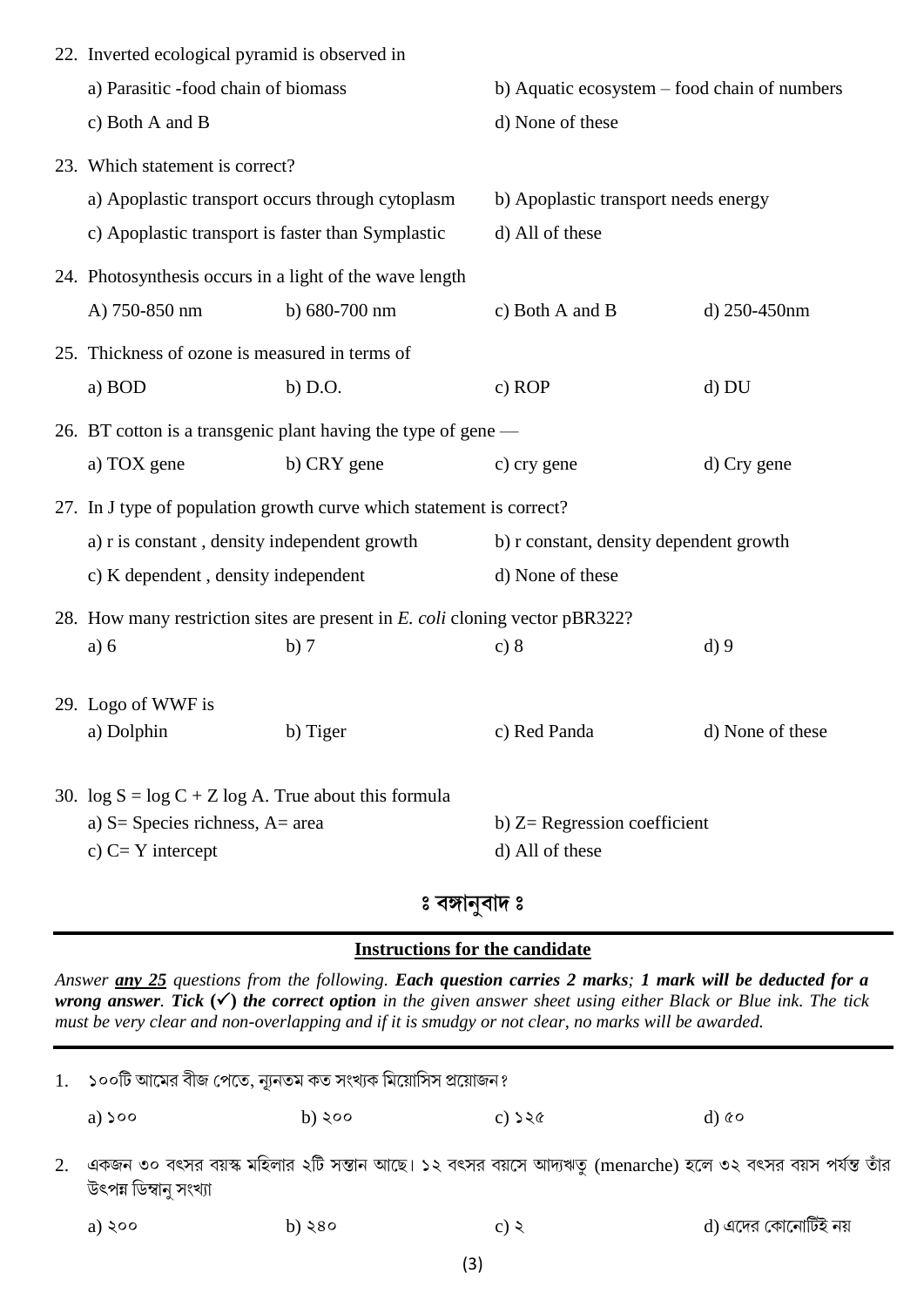| 22. Inverted ecological pyramid is observed in                       |                                                                                     |                                                                              |                                                   |                  |
|----------------------------------------------------------------------|-------------------------------------------------------------------------------------|------------------------------------------------------------------------------|---------------------------------------------------|------------------|
|                                                                      | a) Parasitic -food chain of biomass                                                 |                                                                              | b) Aquatic ecosystem – food chain of numbers      |                  |
|                                                                      | c) Both A and B                                                                     |                                                                              | d) None of these                                  |                  |
|                                                                      | 23. Which statement is correct?                                                     |                                                                              |                                                   |                  |
|                                                                      | a) Apoplastic transport occurs through cytoplasm                                    |                                                                              | b) Apoplastic transport needs energy              |                  |
|                                                                      | c) Apoplastic transport is faster than Symplastic                                   |                                                                              | d) All of these                                   |                  |
|                                                                      | 24. Photosynthesis occurs in a light of the wave length                             |                                                                              |                                                   |                  |
|                                                                      | A) 750-850 nm                                                                       | b) 680-700 nm                                                                | c) Both A and B                                   | d) 250-450nm     |
|                                                                      | 25. Thickness of ozone is measured in terms of                                      |                                                                              |                                                   |                  |
|                                                                      | a) BOD                                                                              | $b)$ D.O.                                                                    | c) ROP                                            | d) DU            |
|                                                                      |                                                                                     | 26. BT cotton is a transgenic plant having the type of gene —                |                                                   |                  |
|                                                                      | a) TOX gene                                                                         | b) CRY gene                                                                  | c) cry gene                                       | d) Cry gene      |
| 27. In J type of population growth curve which statement is correct? |                                                                                     |                                                                              |                                                   |                  |
|                                                                      | a) r is constant, density independent growth<br>c) K dependent, density independent |                                                                              | b) r constant, density dependent growth           |                  |
|                                                                      |                                                                                     |                                                                              | d) None of these                                  |                  |
|                                                                      |                                                                                     | 28. How many restriction sites are present in E. coli cloning vector pBR322? |                                                   |                  |
|                                                                      | a) 6                                                                                | b)7                                                                          | c) 8                                              | $d$ ) 9          |
|                                                                      | 29. Logo of WWF is                                                                  |                                                                              |                                                   |                  |
|                                                                      | a) Dolphin                                                                          | b) Tiger                                                                     | c) Red Panda                                      | d) None of these |
|                                                                      |                                                                                     |                                                                              |                                                   |                  |
|                                                                      | 30. $\log S = \log C + Z \log A$ . True about this formula                          |                                                                              |                                                   |                  |
| a) $S =$ Species richness, $A =$ area<br>c) $C = Y$ intercept        |                                                                                     |                                                                              | b) $Z=$ Regression coefficient<br>d) All of these |                  |
|                                                                      |                                                                                     |                                                                              |                                                   |                  |

## **ƒ îDy˜%îy" ƒ**

## **Instructions for the candidate**

*Answer any 25 questions from the following. Each question carries 2 marks; 1 mark will be deducted for a wrong answer. Tick* **()** *the correct option in the given answer sheet using either Black or Blue ink. The tick must be very clear and non-overlapping and if it is smudgy or not clear, no marks will be awarded.*

| 1. | ১০০টি আমের বীজ পেতে, ন্যূনতম কত সংখ্যক মিয়োসিস প্রয়োজন? |          |                                                                                                           |                     |  |  |
|----|-----------------------------------------------------------|----------|-----------------------------------------------------------------------------------------------------------|---------------------|--|--|
|    | a) $500$                                                  | b) ২০০   | $c)$ $\geq$ $\alpha$                                                                                      | $d$ ) $\&o$         |  |  |
|    | উৎপন্ন ডিম্বানু সংখ্যা                                    |          | একজন ৩০ বৎসর বয়স্ক মহিলার ২টি সন্তান আছে। ১২ বৎসর বয়সে আদ্যঋতু (menarche) হলে ৩২ বৎসর বয়স পর্যন্ত তাঁর |                     |  |  |
|    | a) $\zeta$ 00                                             | b) $580$ | c) $\zeta$                                                                                                | d) এদের কোনোটিই নয় |  |  |
|    |                                                           |          |                                                                                                           |                     |  |  |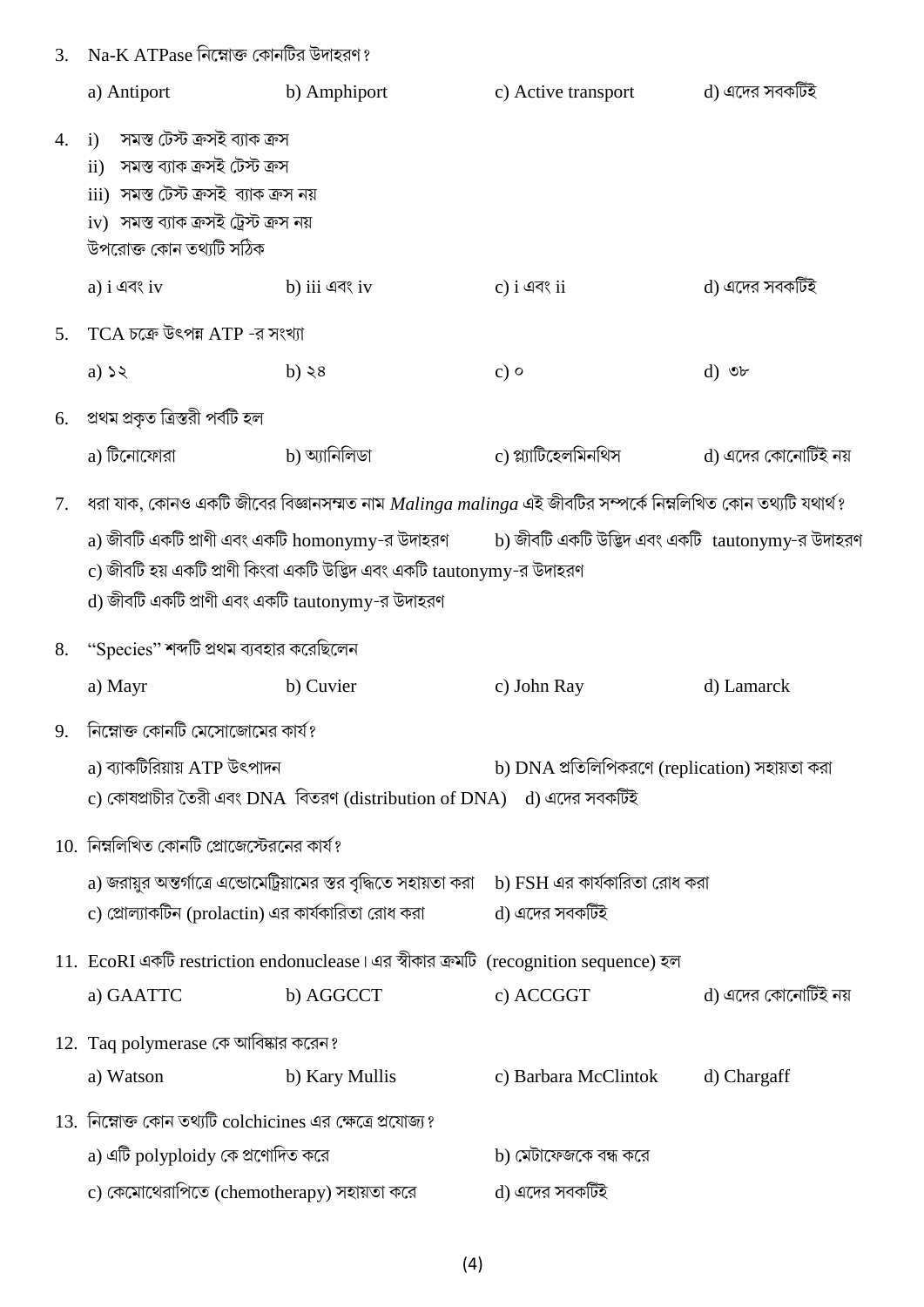| 3. | $Na-KATPase$ নিম্নোক্ত কোনটির উদাহরণ?                                                                                                                                                                                                   |                                                                                                                   |                                                |                     |  |
|----|-----------------------------------------------------------------------------------------------------------------------------------------------------------------------------------------------------------------------------------------|-------------------------------------------------------------------------------------------------------------------|------------------------------------------------|---------------------|--|
|    | a) Antiport                                                                                                                                                                                                                             | b) Amphiport                                                                                                      | c) Active transport                            | d) এদের সবকটিই      |  |
| 4. | i) সমস্ত টেস্ট ক্রসই ব্যাক ক্রস<br>ii) সমস্ত ব্যাক ক্ৰসই টেস্ট ক্ৰস<br>iii) সমস্ত টেস্ট ক্রসই ব্যাক ক্রস নয়<br>iv) সমস্ত ব্যাক ক্রসই ট্রেস্ট ক্রস নয়<br>উপরোক্ত কোন তথ্যটি সঠিক                                                       |                                                                                                                   |                                                |                     |  |
|    | a) $i \triangleleft \triangleleft \triangleleft \{ v \}$                                                                                                                                                                                | b) iii এবং iv                                                                                                     | $c)$ i এবং ii                                  | d) এদের সবকটিই      |  |
| 5. | $TCA$ চক্রে উৎপন্ন $ATP$ -র সংখ্যা                                                                                                                                                                                                      |                                                                                                                   |                                                |                     |  |
|    | a) $55$                                                                                                                                                                                                                                 | b) $\geq 8$                                                                                                       | $c)$ o                                         | $d)$ or             |  |
|    | 6. প্ৰথম প্ৰকৃত ত্ৰিস্তরী পৰ্বটি হল                                                                                                                                                                                                     |                                                                                                                   |                                                |                     |  |
|    | a) টিনোফোরা                                                                                                                                                                                                                             | b) অ্যানিলিডা                                                                                                     | c) প্ল্যাটিহেলমিনথিস                           | d) এদের কোনোটিই নয় |  |
| 7. |                                                                                                                                                                                                                                         | ধরা যাক, কোনও একটি জীবের বিজ্ঞানসম্মত নাম $\it{Malinga~malinga}$ এই জীবটির সম্পর্কে নিম্নলিখিত কোন তথ্যটি যথার্থ? |                                                |                     |  |
|    | a) জীবটি একটি প্রাণী এবং একটি homonymy-র উদাহরণ         b) জীবটি একটি উদ্ভিদ এবং একটি  tautonymy-র উদাহরণ<br>c) জীবটি হয় একটি প্রাণী কিংবা একটি উদ্ভিদ এবং একটি tautonymy-র উদাহরণ<br>d) জীবটি একটি প্রাণী এবং একটি tautonymy-র উদাহরণ |                                                                                                                   |                                                |                     |  |
|    | 8. "Species" শব্দটি প্রথম ব্যবহার করেছিলেন                                                                                                                                                                                              |                                                                                                                   |                                                |                     |  |
|    | a) Mayr                                                                                                                                                                                                                                 | b) Cuvier                                                                                                         | c) John Ray                                    | d) Lamarck          |  |
| 9. | নিম্নোক্ত কোনটি মেসোজোমের কার্য?                                                                                                                                                                                                        |                                                                                                                   |                                                |                     |  |
|    | a) ব্যাকটিরিয়ায় ATP উৎপাদন                                                                                                                                                                                                            |                                                                                                                   | b) DNA প্রতিলিপিকরণে (replication) সহায়তা করা |                     |  |
|    |                                                                                                                                                                                                                                         | c) কোষপ্রাচীর তৈরী এবং DNA বিতরণ (distribution of DNA) d) এদের সবকটিই                                             |                                                |                     |  |
|    | $10.$ নিম্নলিখিত কোনটি প্রোজেস্টেরনের কার্য?                                                                                                                                                                                            |                                                                                                                   |                                                |                     |  |
|    | c) প্রোল্যাকটিন (prolactin) এর কার্যকারিতা রোধ করা                                                                                                                                                                                      | a) জরায়ুর অন্তর্গাত্রে এন্ডোমেট্রিয়ামের স্তর বৃদ্ধিতে সহায়তা করা b) FSH এর কার্যকারিতা রোধ করা                 | d) এদের সবকটিই                                 |                     |  |
|    |                                                                                                                                                                                                                                         | 11. EcoRI একটি restriction endonuclease । এর স্বীকার ক্রমটি (recognition sequence) হল                             |                                                |                     |  |
|    | a) GAATTC                                                                                                                                                                                                                               | b) AGGCCT                                                                                                         | c) ACCGGT                                      | d) এদের কোনোটিই নয় |  |
|    | 12. Taq polymerase কে আবিষ্কার করেন?                                                                                                                                                                                                    |                                                                                                                   |                                                |                     |  |
|    | a) Watson                                                                                                                                                                                                                               | b) Kary Mullis                                                                                                    | c) Barbara McClintok                           | d) Chargaff         |  |
|    | 13. নিম্নোক্ত কোন তথ্যটি colchicines এর ক্ষেত্রে প্রযোজ্য?                                                                                                                                                                              |                                                                                                                   |                                                |                     |  |
|    | a) এটি polyploidy কে প্রণোদিত করে                                                                                                                                                                                                       |                                                                                                                   | b) মেটাফেজকে বন্ধ করে                          |                     |  |
|    | c) কেমোথেরাপিতে (chemotherapy) সহায়তা করে                                                                                                                                                                                              |                                                                                                                   | d) এদের সবকটিই                                 |                     |  |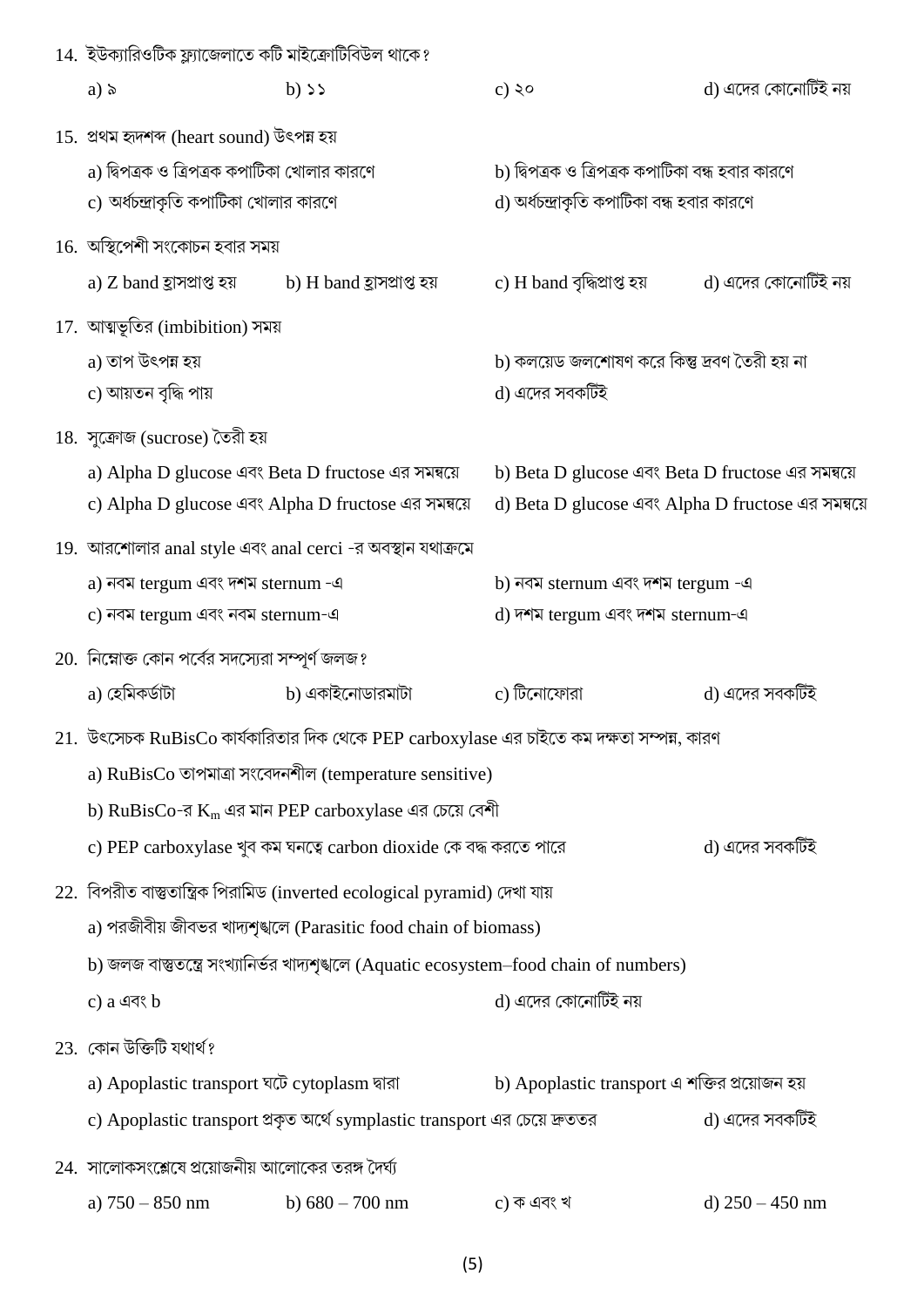| 14. ইউক্যারিওটিক ফ্ল্যাজেলাতে কটি মাইক্রোটিবিউল থাকে?                                    |                                                                                               |                                                    |                     |  |
|------------------------------------------------------------------------------------------|-----------------------------------------------------------------------------------------------|----------------------------------------------------|---------------------|--|
| a) $\delta$                                                                              | $b)$ >>                                                                                       | $c)$ ২০                                            | d) এদের কোনোটিই নয় |  |
| 15. প্ৰথম হৃদশব্দ (heart sound) উৎপন্ন হয়                                               |                                                                                               |                                                    |                     |  |
| a) দ্বিপত্রক ও ত্রিপত্রক কপাটিকা খোলার কারণে                                             |                                                                                               | b) দ্বিপত্রক ও ত্রিপত্রক কপাটিকা বন্ধ হবার কারণে   |                     |  |
| c) অর্ধচন্দ্রাকৃতি কপাটিকা খোলার কারণে                                                   |                                                                                               | d) অর্ধচন্দ্রাকৃতি কপাটিকা বন্ধ হবার কারণে         |                     |  |
| $16.$ অস্থিপেশী সংকোচন হবার সময়                                                         |                                                                                               |                                                    |                     |  |
| a) Z band হ্ৰাসপ্ৰাপ্ত হয়                                                               | b) H band হ্ৰাসপ্ৰাপ্ত হয়                                                                    | c) H band বৃদ্ধিপ্ৰাপ্ত হয়                        | d) এদের কোনোটিই নয় |  |
| 17. আত্মভূতির (imbibition) সময়                                                          |                                                                                               |                                                    |                     |  |
| a) তাপ উৎপন্ন হয়                                                                        |                                                                                               | b) কলয়েড জলশোষণ করে কিন্তু দ্রবণ তৈরী হয় না      |                     |  |
| c) আয়তন বৃদ্ধি পায়                                                                     |                                                                                               | d) এদের সবকটিই                                     |                     |  |
| 18. সুক্রোজ (sucrose) তৈরী হয়                                                           |                                                                                               |                                                    |                     |  |
|                                                                                          | a) Alpha D glucose এবং Beta D fructose এর সমন্বয়ে                                            | b) Beta D glucose এবং Beta D fructose এর সমন্বয়ে  |                     |  |
|                                                                                          | c) Alpha D glucose এবং Alpha D fructose এর সমন্বয়ে                                           | d) Beta D glucose এবং Alpha D fructose এর সমন্বয়ে |                     |  |
|                                                                                          | 19. আরশোলার anal style এবং anal cerci -র অবস্থান যথাক্রমে                                     |                                                    |                     |  |
| a) নবম tergum এবং দশম sternum -এ                                                         |                                                                                               | b) নবম sternum এবং দশম tergum -এ                   |                     |  |
| d) দশম tergum এবং দশম sternum-এ<br>c) নবম tergum এবং নবম sternum-এ                       |                                                                                               |                                                    |                     |  |
| 20. নিম্নোক্ত কোন পর্বের সদস্যেরা সম্পূর্ণ জলজ?                                          |                                                                                               |                                                    |                     |  |
| a) হেমিকর্ডাটা                                                                           | b) একাইনোডারমাটা                                                                              | c) টিনোফোরা                                        | d) এদের সবকটিই      |  |
|                                                                                          | $21.$ উৎসেচক $RuBisCo$ কার্যকারিতার দিক থেকে PEP carboxylase এর চাইতে কম দক্ষতা সম্পন্ন, কারণ |                                                    |                     |  |
| a) RuBisCo তাপমাত্রা সংবেদনশীল (temperature sensitive)                                   |                                                                                               |                                                    |                     |  |
|                                                                                          | b) RuBisCo-র $K_m$ এর মান PEP carboxylase এর চেয়ে বেশী                                       |                                                    |                     |  |
|                                                                                          | c) PEP carboxylase খুব কম ঘনত্বে carbon dioxide কে বদ্ধ করতে পারে                             |                                                    | d) এদের সবকটিই      |  |
|                                                                                          | 22. বিপরীত বাস্তুতান্ত্রিক পিরামিড (inverted ecological pyramid) দেখা যায়                    |                                                    |                     |  |
|                                                                                          | a) পরজীবীয় জীবভর খাদ্যশৃঙ্খলে (Parasitic food chain of biomass)                              |                                                    |                     |  |
| b) জলজ বাস্তুতন্ত্রে সংখ্যানির্ভর খাদ্যশৃঙ্জলে (Aquatic ecosystem–food chain of numbers) |                                                                                               |                                                    |                     |  |
| $c)$ a এবং $b$                                                                           |                                                                                               | d) এদের কোনোটিই নয়                                |                     |  |
| 23. কোন উক্তিটি যথার্থ?                                                                  |                                                                                               |                                                    |                     |  |
| a) Apoplastic transport ঘটে cytoplasm দ্বারা                                             |                                                                                               | b) Apoplastic transport এ শক্তির প্রয়োজন হয়      |                     |  |
|                                                                                          | c) Apoplastic transport প্রকৃত অর্থে symplastic transport এর চেয়ে দ্রুততর                    |                                                    | d) এদের সবকটিই      |  |
| $24.$ সালোকসংশ্লেষে প্রয়োজনীয় আলোকের তরঙ্গ দৈর্ঘ্য                                     |                                                                                               |                                                    |                     |  |
| a) $750 - 850$ nm                                                                        | b) $680 - 700$ nm                                                                             | $c)$ ক এবং খ                                       | d) $250 - 450$ nm   |  |
|                                                                                          |                                                                                               |                                                    |                     |  |